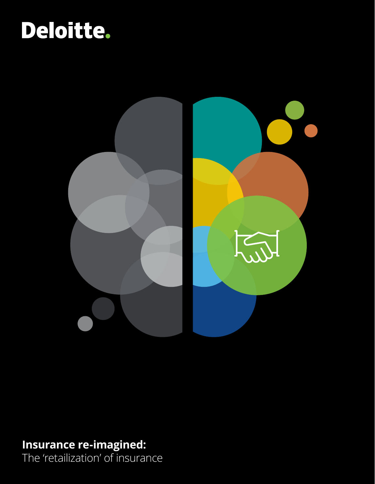# Deloitte.



### **Insurance re-imagined:**

The 'retailization' of insurance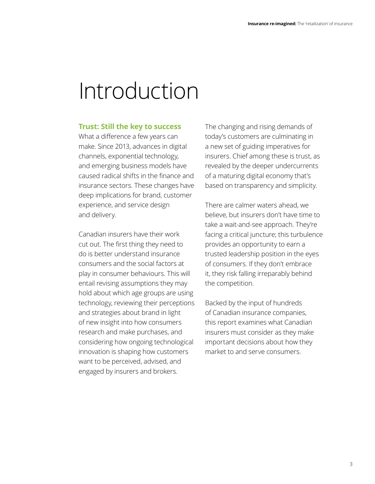### Introduction

#### **Trust: Still the key to success**

What a difference a few years can make. Since 2013, advances in digital channels, exponential technology, and emerging business models have caused radical shifts in the finance and insurance sectors. These changes have deep implications for brand, customer experience, and service design and delivery.

Canadian insurers have their work cut out. The first thing they need to do is better understand insurance consumers and the social factors at play in consumer behaviours. This will entail revising assumptions they may hold about which age groups are using technology, reviewing their perceptions and strategies about brand in light of new insight into how consumers research and make purchases, and considering how ongoing technological innovation is shaping how customers want to be perceived, advised, and engaged by insurers and brokers.

The changing and rising demands of today's customers are culminating in a new set of guiding imperatives for insurers. Chief among these is trust, as revealed by the deeper undercurrents of a maturing digital economy that's based on transparency and simplicity.

There are calmer waters ahead, we believe, but insurers don't have time to take a wait-and-see approach. They're facing a critical juncture; this turbulence provides an opportunity to earn a trusted leadership position in the eyes of consumers. If they don't embrace it, they risk falling irreparably behind the competition.

Backed by the input of hundreds of Canadian insurance companies, this report examines what Canadian insurers must consider as they make important decisions about how they market to and serve consumers.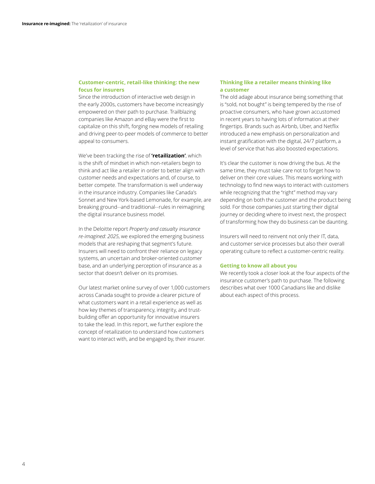#### **Customer-centric, retail-like thinking: the new focus for insurers**

Since the introduction of interactive web design in the early 2000s, customers have become increasingly empowered on their path to purchase. Trailblazing companies like Amazon and eBay were the first to capitalize on this shift, forging new models of retailing and driving peer-to-peer models of commerce to better appeal to consumers.

We've been tracking the rise of **'retailization'**, which is the shift of mindset in which non-retailers begin to think and act like a retailer in order to better align with customer needs and expectations and, of course, to better compete. The transformation is well underway in the insurance industry. Companies like Canada's Sonnet and New York-based Lemonade, for example, are breaking ground--and traditional--rules in reimagining the digital insurance business model.

In the Deloitte report *Property and casualty insurance re-imagined: 2025*, we explored the emerging business models that are reshaping that segment's future. Insurers will need to confront their reliance on legacy systems, an uncertain and broker-oriented customer base, and an underlying perception of insurance as a sector that doesn't deliver on its promises.

Our latest market online survey of over 1,000 customers across Canada sought to provide a clearer picture of what customers want in a retail experience as well as how key themes of transparency, integrity, and trustbuilding offer an opportunity for innovative insurers to take the lead. In this report, we further explore the concept of retailization to understand how customers want to interact with, and be engaged by, their insurer.

#### **Thinking like a retailer means thinking like a customer**

The old adage about insurance being something that is "sold, not bought" is being tempered by the rise of proactive consumers, who have grown accustomed in recent years to having lots of information at their fingertips. Brands such as Airbnb, Uber, and Netflix introduced a new emphasis on personalization and instant gratification with the digital, 24/7 platform, a level of service that has also boosted expectations.

It's clear the customer is now driving the bus. At the same time, they must take care not to forget how to deliver on their core values. This means working with technology to find new ways to interact with customers while recognizing that the "right" method may vary depending on both the customer and the product being sold. For those companies just starting their digital journey or deciding where to invest next, the prospect of transforming how they do business can be daunting.

Insurers will need to reinvent not only their IT, data, and customer service processes but also their overall operating culture to reflect a customer-centric reality.

#### **Getting to know all about you**

We recently took a closer look at the four aspects of the insurance customer's path to purchase. The following describes what over 1000 Canadians like and dislike about each aspect of this process.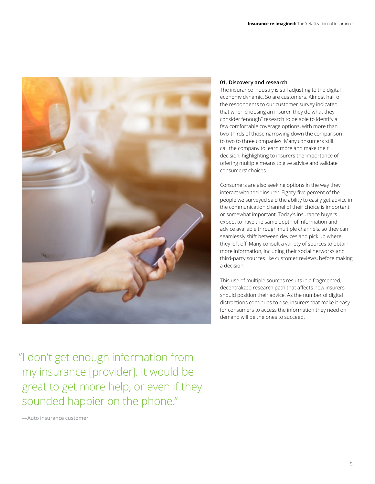

#### **01. Discovery and research**

The insurance industry is still adjusting to the digital economy dynamic. So are customers. Almost half of the respondents to our customer survey indicated that when choosing an insurer, they do what they consider "enough" research to be able to identify a few comfortable coverage options, with more than two-thirds of those narrowing down the comparison to two to three companies. Many consumers still call the company to learn more and make their decision, highlighting to insurers the importance of offering multiple means to give advice and validate consumers' choices.

Consumers are also seeking options in the way they interact with their insurer. Eighty-five percent of the people we surveyed said the ability to easily get advice in the communication channel of their choice is important or somewhat important. Today's insurance buyers expect to have the same depth of information and advice available through multiple channels, so they can seamlessly shift between devices and pick up where they left off. Many consult a variety of sources to obtain more information, including their social networks and third-party sources like customer reviews, before making a decision.

This use of multiple sources results in a fragmented, decentralized research path that affects how insurers should position their advice. As the number of digital distractions continues to rise, insurers that make it easy for consumers to access the information they need on demand will be the ones to succeed.

"I don't get enough information from my insurance [provider]. It would be great to get more help, or even if they sounded happier on the phone."

—Auto insurance customer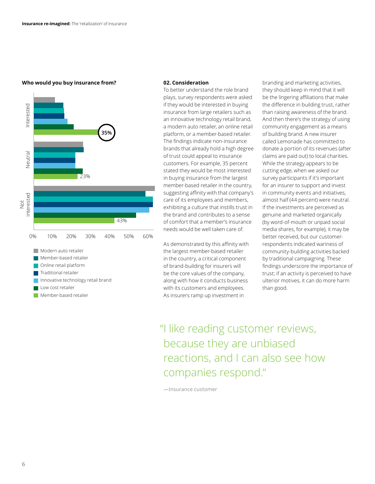#### **Who would you buy insurance from? 02. Consideration**



Member-based retailer

To better understand the role brand plays, survey respondents were asked if they would be interested in buying insurance from large retailers such as an innovative technology retail brand, a modern auto retailer, an online retail platform, or a member-based retailer. The findings indicate non-insurance brands that already hold a high degree of trust could appeal to insurance customers. For example, 35 percent stated they would be most interested in buying insurance from the largest member-based retailer in the country, suggesting affinity with that company's care of its employees and members, exhibiting a culture that instills trust in the brand and contributes to a sense of comfort that a member's insurance needs would be well taken care of.

As demonstrated by this affinity with the largest member-based retailer in the country, a critical component of brand-building for insurers will be the core values of the company, along with how it conducts business with its customers and employees. As insurers ramp up investment in

branding and marketing activities, they should keep in mind that it will be the lingering affiliations that make the difference in building trust, rather than raising awareness of the brand. And then there's the strategy of using community engagement as a means of building brand. A new insurer called Lemonade has committed to donate a portion of its revenues (after claims are paid out) to local charities. While the strategy appears to be cutting edge, when we asked our survey participants if it's important for an insurer to support and invest in community events and initiatives, almost half (44 percent) were neutral. If the investments are perceived as genuine and marketed organically (by word-of-mouth or unpaid social media shares, for example), it may be better received, but our customerrespondents indicated wariness of community-building activities backed by traditional campaigning. These findings underscore the importance of trust; if an activity is perceived to have ulterior motives, it can do more harm than good.

"I like reading customer reviews, because they are unbiased reactions, and I can also see how companies respond."

—Insurance customer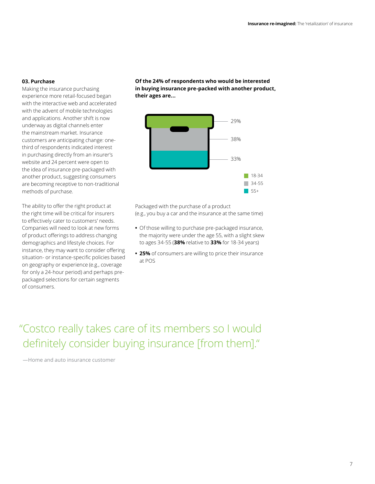#### **03. Purchase**

Making the insurance purchasing experience more retail-focused began with the interactive web and accelerated with the advent of mobile technologies and applications. Another shift is now underway as digital channels enter the mainstream market. Insurance customers are anticipating change: onethird of respondents indicated interest in purchasing directly from an insurer's website and 24 percent were open to the idea of insurance pre-packaged with another product, suggesting consumers are becoming receptive to non-traditional methods of purchase.

The ability to offer the right product at the right time will be critical for insurers to effectively cater to customers' needs. Companies will need to look at new forms of product offerings to address changing demographics and lifestyle choices. For instance, they may want to consider offering situation- or instance-specific policies based on geography or experience (e.g., coverage for only a 24-hour period) and perhaps prepackaged selections for certain segments of consumers.

**Of the 24% of respondents who would be interested in buying insurance pre-packed with another product, their ages are...**



Packaged with the purchase of a product (e.g., you buy a car and the insurance at the same time)

- **•** Of those willing to purchase pre-packaged insurance, the majority were under the age 55, with a slight skew to ages 34-55 (**38%** relative to **33%** for 18-34 years)
- **25%** of consumers are willing to price their insurance at POS

"Costco really takes care of its members so I would definitely consider buying insurance [from them]."

—Home and auto insurance customer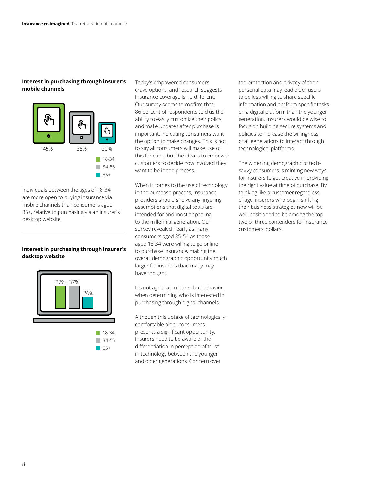#### **Interest in purchasing through insurer's mobile channels**



Individuals between the ages of 18-34 are more open to buying insurance via mobile channels than consumers aged 35+, relative to purchasing via an insurer's desktop website

#### **Interest in purchasing through insurer's desktop website**



Today's empowered consumers crave options, and research suggests insurance coverage is no different. Our survey seems to confirm that: 86 percent of respondents told us the ability to easily customize their policy and make updates after purchase is important, indicating consumers want the option to make changes. This is not to say all consumers will make use of this function, but the idea is to empower customers to decide how involved they want to be in the process.

When it comes to the use of technology in the purchase process, insurance providers should shelve any lingering assumptions that digital tools are intended for and most appealing to the millennial generation. Our survey revealed nearly as many consumers aged 35-54 as those aged 18-34 were willing to go online to purchase insurance, making the overall demographic opportunity much larger for insurers than many may have thought.

It's not age that matters, but behavior, when determining who is interested in purchasing through digital channels.

Although this uptake of technologically comfortable older consumers presents a significant opportunity, insurers need to be aware of the differentiation in perception of trust in technology between the younger and older generations. Concern over

the protection and privacy of their personal data may lead older users to be less willing to share specific information and perform specific tasks on a digital platform than the younger generation. Insurers would be wise to focus on building secure systems and policies to increase the willingness of all generations to interact through technological platforms.

The widening demographic of techsavvy consumers is minting new ways for insurers to get creative in providing the right value at time of purchase. By thinking like a customer regardless of age, insurers who begin shifting their business strategies now will be well-positioned to be among the top two or three contenders for insurance customers' dollars.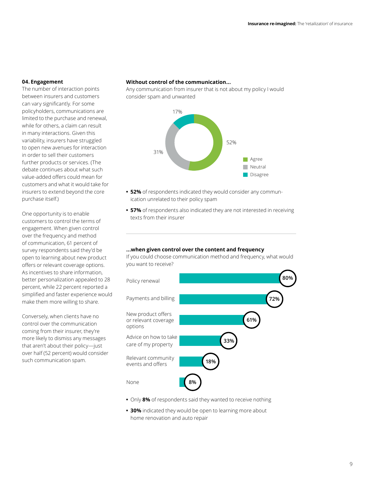#### **04. Engagement**

The number of interaction points between insurers and customers can vary significantly. For some policyholders, communications are limited to the purchase and renewal, while for others, a claim can result in many interactions. Given this variability, insurers have struggled to open new avenues for interaction in order to sell their customers further products or services. (The debate continues about what such value-added offers could mean for customers and what it would take for insurers to extend beyond the core purchase itself.)

One opportunity is to enable customers to control the terms of engagement. When given control over the frequency and method of communication, 61 percent of survey respondents said they'd be open to learning about new product offers or relevant coverage options. As incentives to share information, better personalization appealed to 28 percent, while 22 percent reported a simplified and faster experience would make them more willing to share.

Conversely, when clients have no control over the communication coming from their insurer, they're more likely to dismiss any messages that aren't about their policy—just over half (52 percent) would consider such communication spam.

#### **Without control of the communication...**

Any communication from insurer that is not about my policy I would consider spam and unwanted



- **52%** of respondents indicated they would consider any communication unrelated to their policy spam
- **57%** of respondents also indicated they are not interested in receiving texts from their insurer

#### **...when given control over the content and frequency**

If you could choose communication method and frequency, what would you want to receive?



- **•** Only **8%** of respondents said they wanted to receive nothing
- **30%** indicated they would be open to learning more about home renovation and auto repair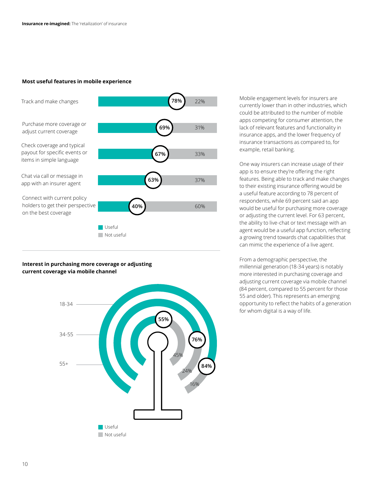#### **Most useful features in mobile experience**



#### **Interest in purchasing more coverage or adjusting current coverage via mobile channel**



Mobile engagement levels for insurers are currently lower than in other industries, which could be attributed to the number of mobile apps competing for consumer attention, the lack of relevant features and functionality in insurance apps, and the lower frequency of insurance transactions as compared to, for example, retail banking.

One way insurers can increase usage of their app is to ensure they're offering the right features. Being able to track and make changes to their existing insurance offering would be a useful feature according to 78 percent of respondents, while 69 percent said an app would be useful for purchasing more coverage or adjusting the current level. For 63 percent, the ability to live-chat or text message with an agent would be a useful app function, reflecting a growing trend towards chat capabilities that can mimic the experience of a live agent.

From a demographic perspective, the millennial generation (18-34 years) is notably more interested in purchasing coverage and adjusting current coverage via mobile channel (84 percent, compared to 55 percent for those 55 and older). This represents an emerging opportunity to reflect the habits of a generation for whom digital is a way of life.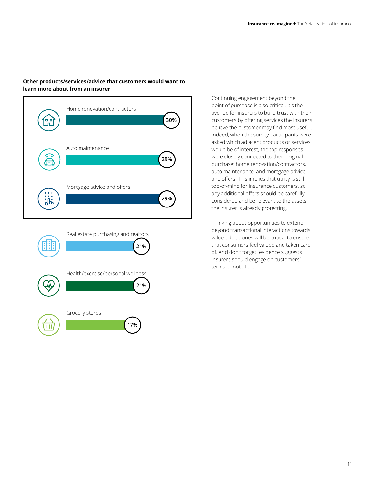#### **Other products/services/advice that customers would want to learn more about from an insurer**





Continuing engagement beyond the point of purchase is also critical. It's the avenue for insurers to build trust with their customers by offering services the insurers believe the customer may find most useful. Indeed, when the survey participants were asked which adjacent products or services would be of interest, the top responses were closely connected to their original purchase: home renovation/contractors, auto maintenance, and mortgage advice and offers. This implies that utility is still top-of-mind for insurance customers, so any additional offers should be carefully considered and be relevant to the assets the insurer is already protecting.

Thinking about opportunities to extend beyond transactional interactions towards value-added ones will be critical to ensure that consumers feel valued and taken care of. And don't forget: evidence suggests insurers should engage on customers' terms or not at all.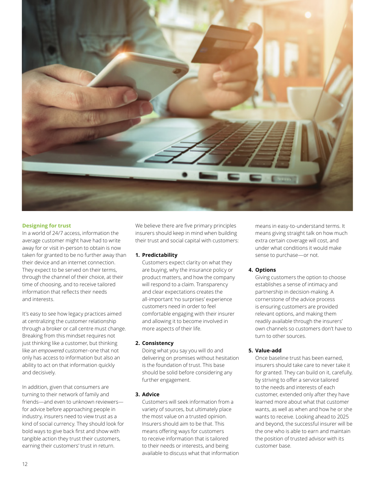

#### **Designing for trust**

In a world of 24/7 access, information the average customer might have had to write away for or visit in-person to obtain is now taken for granted to be no further away than their device and an internet connection. They expect to be served on their terms, through the channel of their choice, at their time of choosing, and to receive tailored information that reflects their needs and interests.

It's easy to see how legacy practices aimed at centralizing the customer relationship through a broker or call centre must change. Breaking from this mindset requires not just thinking like a customer, but thinking like an *empowered* customer–one that not only has access to information but also an ability to act on that information quickly and decisively.

In addition, given that consumers are turning to their network of family and friends—and even to unknown reviewers for advice before approaching people in industry, insurers need to view trust as a kind of social currency. They should look for bold ways to give back first and show with tangible action they trust their customers, earning their customers' trust in return.

We believe there are five primary principles insurers should keep in mind when building their trust and social capital with customers:

#### **1. Predictability**

Customers expect clarity on what they are buying, why the insurance policy or product matters, and how the company will respond to a claim. Transparency and clear expectations creates the all-important 'no surprises' experience customers need in order to feel comfortable engaging with their insurer and allowing it to become involved in more aspects of their life.

#### **2. Consistency**

Doing what you say you will do and delivering on promises without hesitation is the foundation of trust. This base should be solid before considering any further engagement.

#### **3. Advice**

Customers will seek information from a variety of sources, but ultimately place the most value on a trusted opinion. Insurers should aim to be that. This means offering ways for customers to receive information that is tailored to their needs or interests, and being available to discuss what that information means in easy-to-understand terms. It means giving straight talk on how much extra certain coverage will cost, and under what conditions it would make sense to purchase―or not.

#### **4. Options**

Giving customers the option to choose establishes a sense of intimacy and partnership in decision-making. A cornerstone of the advice process is ensuring customers are provided relevant options, and making them readily available through the insurers' own channels so customers don't have to turn to other sources.

#### **5. Value-add**

Once baseline trust has been earned, insurers should take care to never take it for granted. They can build on it, carefully, by striving to offer a service tailored to the needs and interests of each customer, extended only after they have learned more about what that customer wants, as well as when and how he or she wants to receive. Looking ahead to 2025 and beyond, the successful insurer will be the one who is able to earn and maintain the position of trusted advisor with its customer base.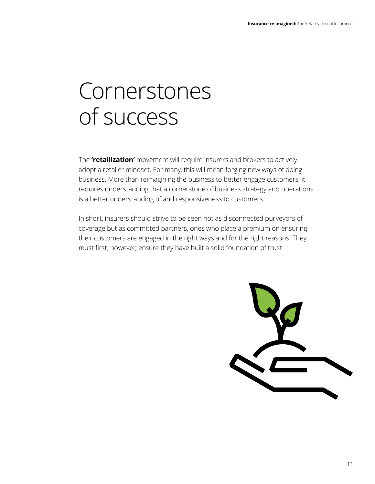### Cornerstones of success

The **'retailization'** movement will require insurers and brokers to actively adopt a retailer mindset. For many, this will mean forging new ways of doing business. More than reimagining the business to better engage customers, it requires understanding that a cornerstone of business strategy and operations is a better understanding of and responsiveness to customers.

In short, insurers should strive to be seen not as disconnected purveyors of coverage but as committed partners, ones who place a premium on ensuring their customers are engaged in the right ways and for the right reasons. They must first, however, ensure they have built a solid foundation of trust.

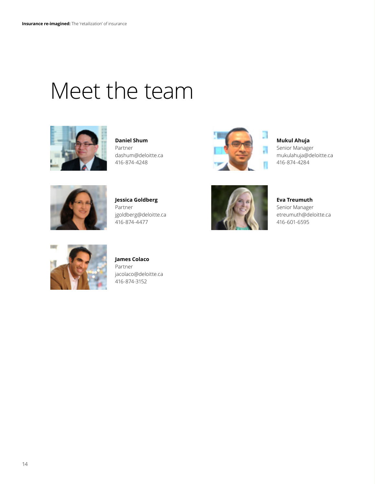### Meet the team



**Daniel Shum** Partner [dashum@deloitte.ca](mailto:dashum@deloitte.ca) 416-874-4248



**Mukul Ahuja** Senior Manager [mukulahuja@deloitte.ca](mailto:mukulahuja@deloitte.ca) 416-874-4284



**Jessica Goldberg** Partner [jgoldberg@deloitte.ca](mailto:jgoldberg@deloitte.ca) 416-874-4477



**Eva Treumuth**  Senior Manager [etreumuth@deloitte.ca](mailto:etreumuth@deloitte.ca) 416-601-6595



#### **James Colaco** Partner [jacolaco@deloitte.ca](mailto:jacolaco@deloitte.ca) 416-874-3152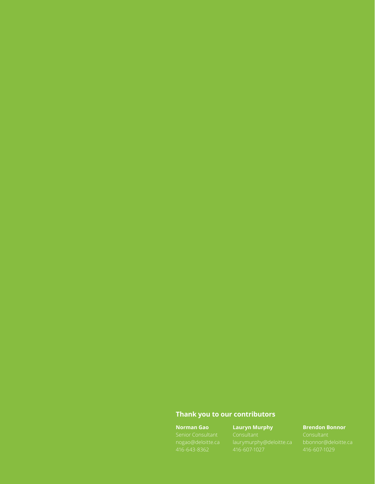### **Thank you to our contributors**

#### **Norman Gao**

#### **Lauryn Murphy**

**Brendon Bonnor**

[bbonnor@deloitte.ca](mailto:bbonnor@deloitte.ca)